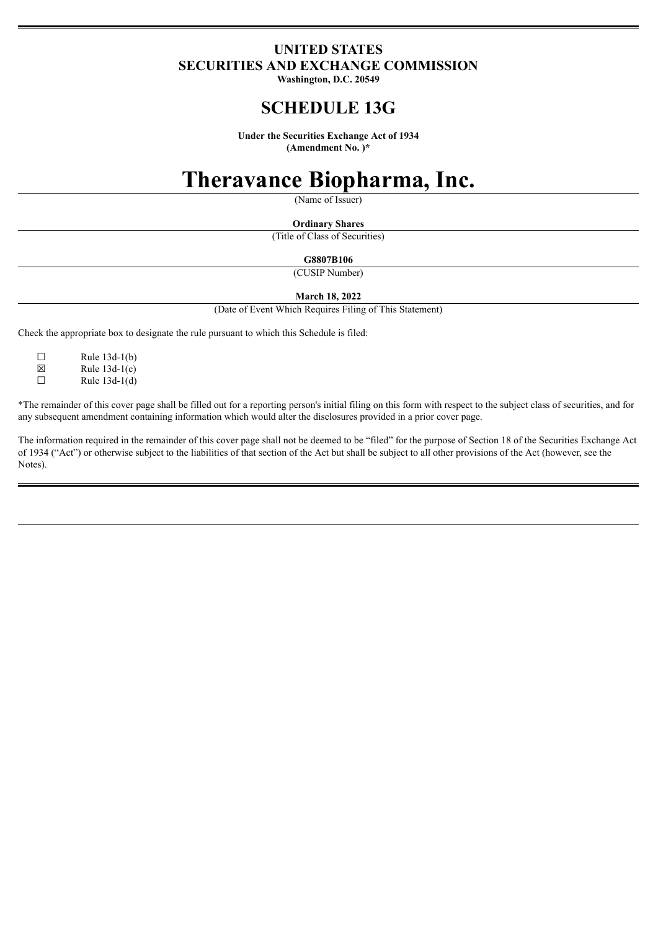### **UNITED STATES SECURITIES AND EXCHANGE COMMISSION**

**Washington, D.C. 20549**

## **SCHEDULE 13G**

**Under the Securities Exchange Act of 1934 (Amendment No. )\***

# **Theravance Biopharma, Inc.**

(Name of Issuer)

**Ordinary Shares** (Title of Class of Securities)

**G8807B106**

(CUSIP Number)

**March 18, 2022**

(Date of Event Which Requires Filing of This Statement)

Check the appropriate box to designate the rule pursuant to which this Schedule is filed:

 $\Box$  Rule 13d-1(b)

 $\boxtimes$  Rule 13d-1(c)<br>
Rule 13d-1(d) Rule  $13d-1(d)$ 

\*The remainder of this cover page shall be filled out for a reporting person's initial filing on this form with respect to the subject class of securities, and for any subsequent amendment containing information which would alter the disclosures provided in a prior cover page.

The information required in the remainder of this cover page shall not be deemed to be "filed" for the purpose of Section 18 of the Securities Exchange Act of 1934 ("Act") or otherwise subject to the liabilities of that section of the Act but shall be subject to all other provisions of the Act (however, see the Notes).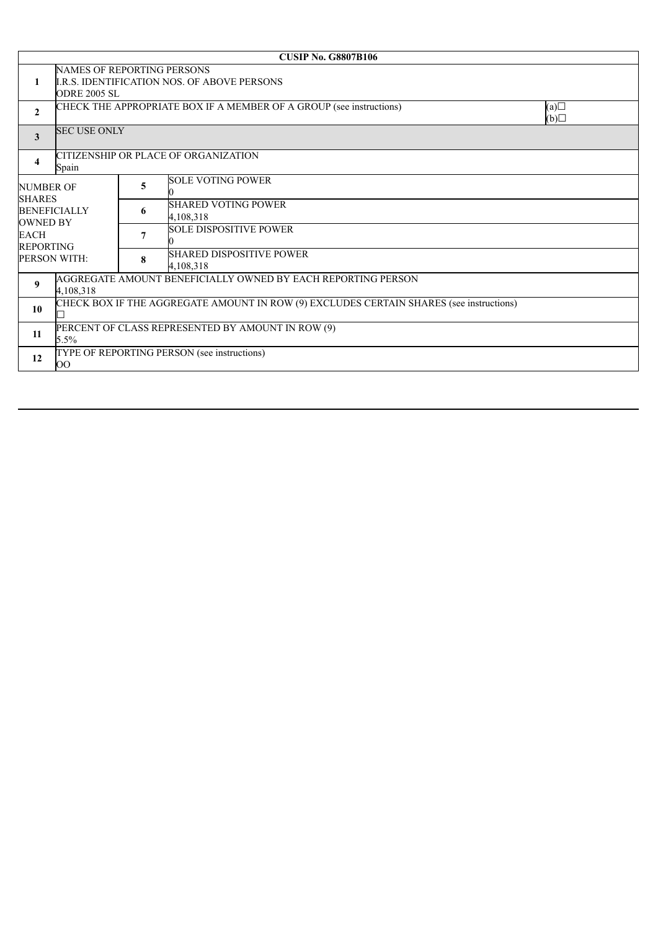| <b>CUSIP No. G8807B106</b>        |                                                                                                                |   |                                              |                   |  |  |  |
|-----------------------------------|----------------------------------------------------------------------------------------------------------------|---|----------------------------------------------|-------------------|--|--|--|
| 1                                 | <b>NAMES OF REPORTING PERSONS</b><br><b>I.R.S. IDENTIFICATION NOS. OF ABOVE PERSONS</b><br><b>ODRE 2005 SL</b> |   |                                              |                   |  |  |  |
| $\overline{2}$                    | CHECK THE APPROPRIATE BOX IF A MEMBER OF A GROUP (see instructions)                                            |   |                                              | (a)<br>$\Box$ (d) |  |  |  |
| 3                                 | <b>SEC USE ONLY</b>                                                                                            |   |                                              |                   |  |  |  |
| 4                                 | CITIZENSHIP OR PLACE OF ORGANIZATION<br>Spain                                                                  |   |                                              |                   |  |  |  |
| <b>NUMBER OF</b><br><b>SHARES</b> | <b>BENEFICIALLY</b><br>PERSON WITH:                                                                            | 5 | <b>SOLE VOTING POWER</b>                     |                   |  |  |  |
| <b>OWNED BY</b>                   |                                                                                                                | 6 | <b>SHARED VOTING POWER</b><br>4,108,318      |                   |  |  |  |
| <b>EACH</b><br><b>REPORTING</b>   |                                                                                                                | 7 | <b>SOLE DISPOSITIVE POWER</b>                |                   |  |  |  |
|                                   |                                                                                                                | 8 | <b>SHARED DISPOSITIVE POWER</b><br>4,108,318 |                   |  |  |  |
| 9                                 | AGGREGATE AMOUNT BENEFICIALLY OWNED BY EACH REPORTING PERSON<br>4,108,318                                      |   |                                              |                   |  |  |  |
| 10                                | CHECK BOX IF THE AGGREGATE AMOUNT IN ROW (9) EXCLUDES CERTAIN SHARES (see instructions)                        |   |                                              |                   |  |  |  |
| 11                                | PERCENT OF CLASS REPRESENTED BY AMOUNT IN ROW (9)<br>$5.5\%$                                                   |   |                                              |                   |  |  |  |
| 12                                | TYPE OF REPORTING PERSON (see instructions)<br>OO                                                              |   |                                              |                   |  |  |  |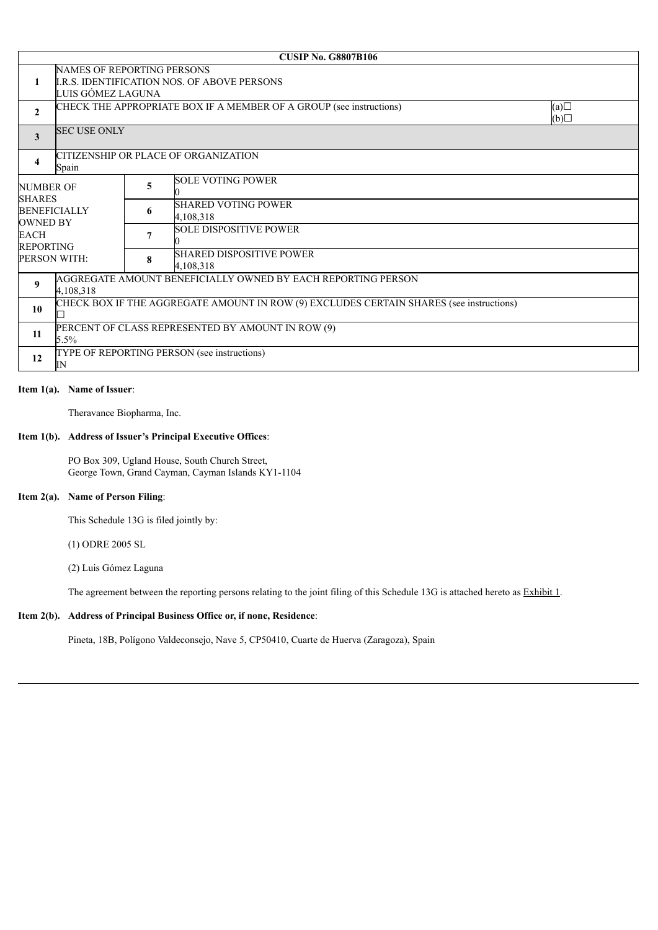|                                   |                                                                                         |   | <b>CUSIP No. G8807B106</b>                   |                   |  |  |  |
|-----------------------------------|-----------------------------------------------------------------------------------------|---|----------------------------------------------|-------------------|--|--|--|
|                                   | <b>NAMES OF REPORTING PERSONS</b>                                                       |   |                                              |                   |  |  |  |
| 1                                 | <b>I.R.S. IDENTIFICATION NOS. OF ABOVE PERSONS</b>                                      |   |                                              |                   |  |  |  |
|                                   | LUIS GÓMEZ LAGUNA                                                                       |   |                                              |                   |  |  |  |
| $\overline{2}$                    | CHECK THE APPROPRIATE BOX IF A MEMBER OF A GROUP (see instructions)                     |   |                                              | (a)<br>$\Box$ (d) |  |  |  |
| 3                                 | <b>SEC USE ONLY</b>                                                                     |   |                                              |                   |  |  |  |
| 4                                 | CITIZENSHIP OR PLACE OF ORGANIZATION<br>Spain                                           |   |                                              |                   |  |  |  |
| <b>NUMBER OF</b><br><b>SHARES</b> |                                                                                         | 5 | <b>SOLE VOTING POWER</b>                     |                   |  |  |  |
| <b>OWNED BY</b>                   | <b>BENEFICIALLY</b><br>PERSON WITH:                                                     | 6 | <b>SHARED VOTING POWER</b><br>4,108,318      |                   |  |  |  |
| <b>EACH</b><br><b>REPORTING</b>   |                                                                                         | 7 | <b>SOLE DISPOSITIVE POWER</b>                |                   |  |  |  |
|                                   |                                                                                         | 8 | <b>SHARED DISPOSITIVE POWER</b><br>4,108,318 |                   |  |  |  |
| 9                                 | AGGREGATE AMOUNT BENEFICIALLY OWNED BY EACH REPORTING PERSON<br>4,108,318               |   |                                              |                   |  |  |  |
| 10                                | CHECK BOX IF THE AGGREGATE AMOUNT IN ROW (9) EXCLUDES CERTAIN SHARES (see instructions) |   |                                              |                   |  |  |  |
| 11                                | PERCENT OF CLASS REPRESENTED BY AMOUNT IN ROW (9)<br>5.5%                               |   |                                              |                   |  |  |  |
| 12                                | TYPE OF REPORTING PERSON (see instructions)<br>IN                                       |   |                                              |                   |  |  |  |

#### **Item 1(a). Name of Issuer**:

Theravance Biopharma, Inc.

#### **Item 1(b). Address of Issuer's Principal Executive Offices**:

PO Box 309, Ugland House, South Church Street, George Town, Grand Cayman, Cayman Islands KY1-1104

#### **Item 2(a). Name of Person Filing**:

This Schedule 13G is filed jointly by:

(1) ODRE 2005 SL

(2) Luis Gómez Laguna

The agreement between the reporting persons relating to the joint filing of this Schedule 13G is attached hereto as Exhibit 1.

#### **Item 2(b). Address of Principal Business Office or, if none, Residence**:

Pineta, 18B, Polígono Valdeconsejo, Nave 5, CP50410, Cuarte de Huerva (Zaragoza), Spain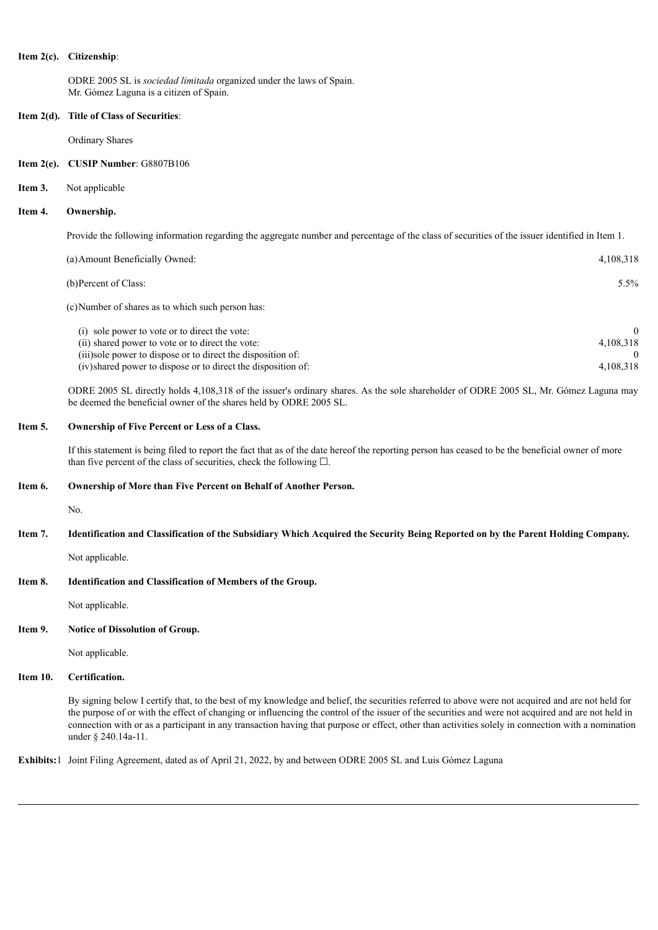#### **Item 2(c). Citizenship**:

ODRE 2005 SL is *sociedad limitada* organized under the laws of Spain. Mr. Gómez Laguna is a citizen of Spain.

#### **Item 2(d). Title of Class of Securities**:

Ordinary Shares

#### **Item 2(e). CUSIP Number**: G8807B106

#### **Item 3.** Not applicable

#### **Item 4. Ownership.**

Provide the following information regarding the aggregate number and percentage of the class of securities of the issuer identified in Item 1.

| (a) Amount Beneficially Owned:                    | 4.108.318 |
|---------------------------------------------------|-----------|
| (b) Percent of Class:                             | $5.5\%$   |
| (c) Number of shares as to which such person has: |           |

| (i) sole power to vote or to direct the vote:                 |           |
|---------------------------------------------------------------|-----------|
| (ii) shared power to vote or to direct the vote:              | 4.108.318 |
| (iii)sole power to dispose or to direct the disposition of:   |           |
| (iv) shared power to dispose or to direct the disposition of: | 4.108.318 |

ODRE 2005 SL directly holds 4,108,318 of the issuer's ordinary shares. As the sole shareholder of ODRE 2005 SL, Mr. Gómez Laguna may be deemed the beneficial owner of the shares held by ODRE 2005 SL.

#### **Item 5. Ownership of Five Percent or Less of a Class.**

If this statement is being filed to report the fact that as of the date hereof the reporting person has ceased to be the beneficial owner of more than five percent of the class of securities, check the following  $\Box$ .

#### **Item 6. Ownership of More than Five Percent on Behalf of Another Person.**

No.

#### Item 7. Identification and Classification of the Subsidiary Which Acquired the Security Being Reported on by the Parent Holding Company.

Not applicable.

#### **Item 8. Identification and Classification of Members of the Group.**

Not applicable.

#### **Item 9. Notice of Dissolution of Group.**

Not applicable.

#### **Item 10. Certification.**

By signing below I certify that, to the best of my knowledge and belief, the securities referred to above were not acquired and are not held for the purpose of or with the effect of changing or influencing the control of the issuer of the securities and were not acquired and are not held in connection with or as a participant in any transaction having that purpose or effect, other than activities solely in connection with a nomination under § 240.14a-11.

**Exhibits:**1 Joint Filing Agreement, dated as of April 21, 2022, by and between ODRE 2005 SL and Luis Gómez Laguna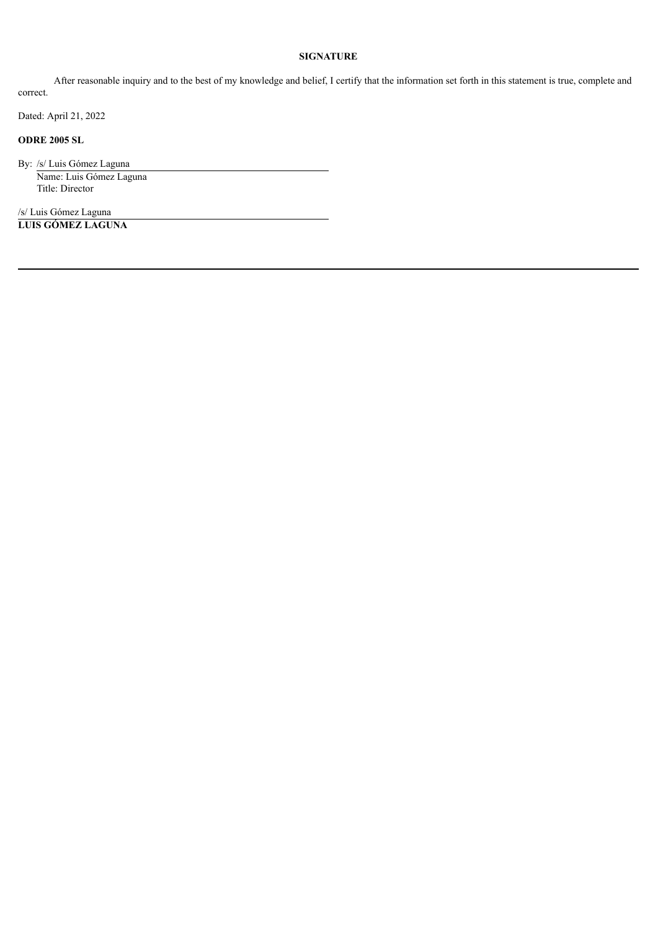#### **SIGNATURE**

After reasonable inquiry and to the best of my knowledge and belief, I certify that the information set forth in this statement is true, complete and correct.

Dated: April 21, 2022

#### **ODRE 2005 SL**

By: /s/ Luis Gómez Laguna Name: Luis Gómez Laguna Title: Director

/s/ Luis Gómez Laguna **LUIS GÓMEZ LAGUNA**